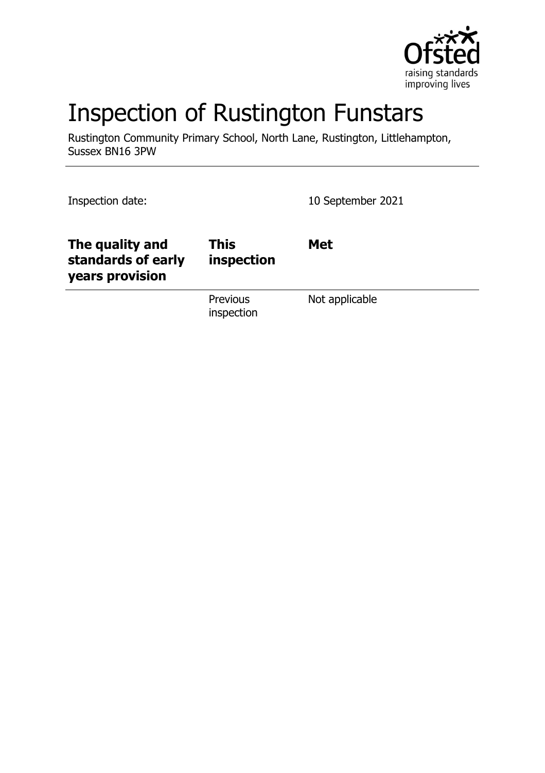

# Inspection of Rustington Funstars

Rustington Community Primary School, North Lane, Rustington, Littlehampton, Sussex BN16 3PW

Inspection date: 10 September 2021

| The quality and<br>standards of early<br>years provision | <b>This</b><br>inspection     | <b>Met</b>     |
|----------------------------------------------------------|-------------------------------|----------------|
|                                                          | <b>Previous</b><br>inspection | Not applicable |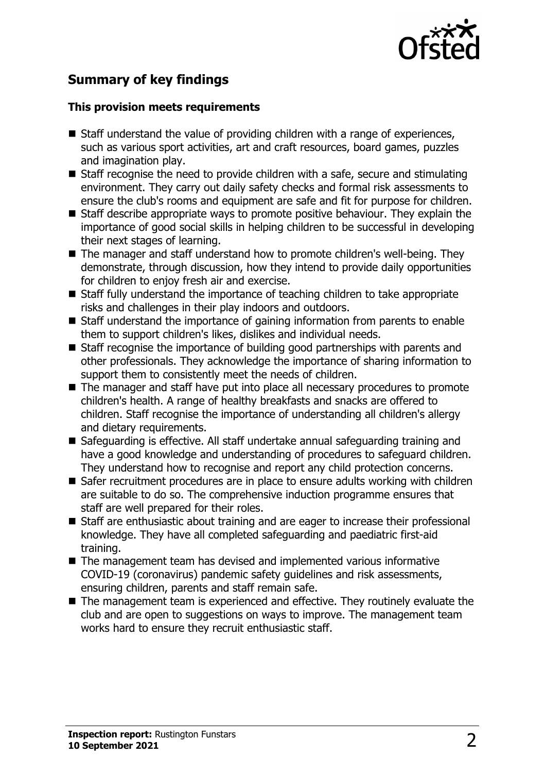

## **Summary of key findings**

#### **This provision meets requirements**

- $\blacksquare$  Staff understand the value of providing children with a range of experiences, such as various sport activities, art and craft resources, board games, puzzles and imagination play.
- $\blacksquare$  Staff recognise the need to provide children with a safe, secure and stimulating environment. They carry out daily safety checks and formal risk assessments to ensure the club's rooms and equipment are safe and fit for purpose for children.
- $\blacksquare$  Staff describe appropriate ways to promote positive behaviour. They explain the importance of good social skills in helping children to be successful in developing their next stages of learning.
- $\blacksquare$  The manager and staff understand how to promote children's well-being. They demonstrate, through discussion, how they intend to provide daily opportunities for children to enjoy fresh air and exercise.
- $\blacksquare$  Staff fully understand the importance of teaching children to take appropriate risks and challenges in their play indoors and outdoors.
- Staff understand the importance of gaining information from parents to enable them to support children's likes, dislikes and individual needs.
- $\blacksquare$  Staff recognise the importance of building good partnerships with parents and other professionals. They acknowledge the importance of sharing information to support them to consistently meet the needs of children.
- $\blacksquare$  The manager and staff have put into place all necessary procedures to promote children's health. A range of healthy breakfasts and snacks are offered to children. Staff recognise the importance of understanding all children's allergy and dietary requirements.
- Safeguarding is effective. All staff undertake annual safeguarding training and have a good knowledge and understanding of procedures to safeguard children. They understand how to recognise and report any child protection concerns.
- Safer recruitment procedures are in place to ensure adults working with children are suitable to do so. The comprehensive induction programme ensures that staff are well prepared for their roles.
- $\blacksquare$  Staff are enthusiastic about training and are eager to increase their professional knowledge. They have all completed safeguarding and paediatric first-aid training.
- $\blacksquare$  The management team has devised and implemented various informative COVID-19 (coronavirus) pandemic safety guidelines and risk assessments, ensuring children, parents and staff remain safe.
- $\blacksquare$  The management team is experienced and effective. They routinely evaluate the club and are open to suggestions on ways to improve. The management team works hard to ensure they recruit enthusiastic staff.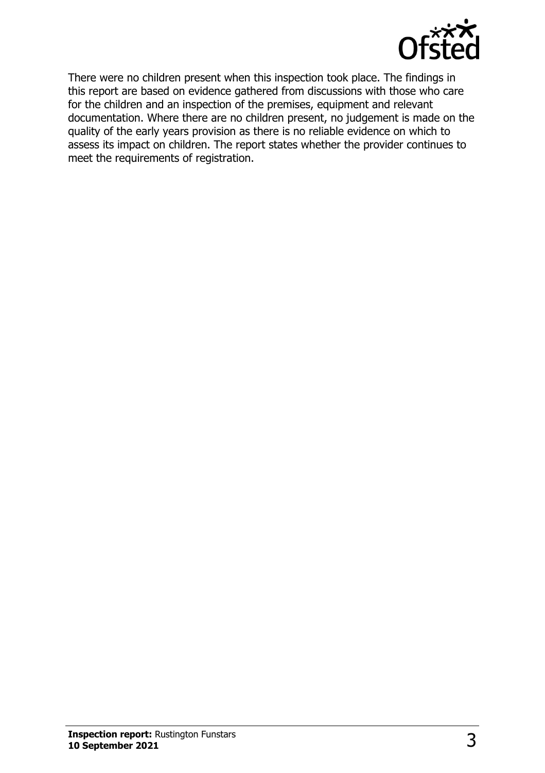

There were no children present when this inspection took place. The findings in this report are based on evidence gathered from discussions with those who care for the children and an inspection of the premises, equipment and relevant documentation. Where there are no children present, no judgement is made on the quality of the early years provision as there is no reliable evidence on which to assess its impact on children. The report states whether the provider continues to meet the requirements of registration.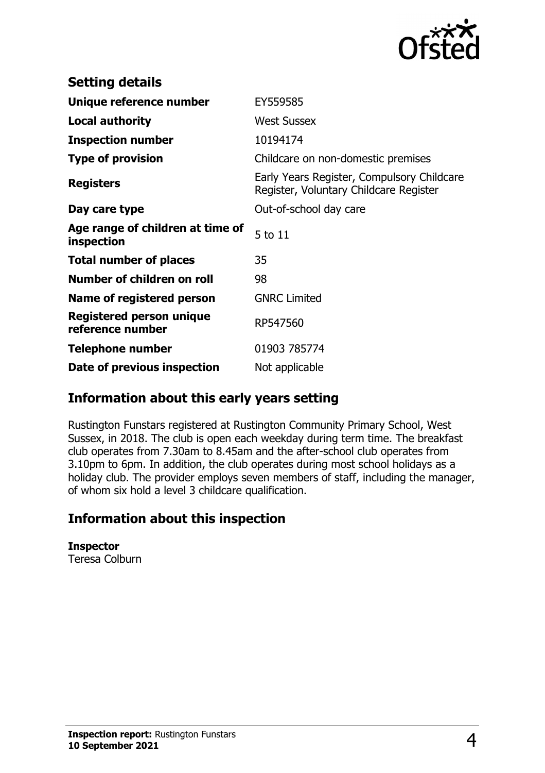

| <b>Setting details</b>                         |                                                                                      |
|------------------------------------------------|--------------------------------------------------------------------------------------|
| Unique reference number                        | EY559585                                                                             |
| <b>Local authority</b>                         | <b>West Sussex</b>                                                                   |
| <b>Inspection number</b>                       | 10194174                                                                             |
| <b>Type of provision</b>                       | Childcare on non-domestic premises                                                   |
| <b>Registers</b>                               | Early Years Register, Compulsory Childcare<br>Register, Voluntary Childcare Register |
| Day care type                                  | Out-of-school day care                                                               |
| Age range of children at time of<br>inspection | 5 to 11                                                                              |
| <b>Total number of places</b>                  | 35                                                                                   |
| Number of children on roll                     | 98                                                                                   |
| Name of registered person                      | <b>GNRC Limited</b>                                                                  |
| Registered person unique<br>reference number   | RP547560                                                                             |
| <b>Telephone number</b>                        | 01903 785774                                                                         |
| Date of previous inspection                    | Not applicable                                                                       |

## **Information about this early years setting**

Rustington Funstars registered at Rustington Community Primary School, West Sussex, in 2018. The club is open each weekday during term time. The breakfast club operates from 7.30am to 8.45am and the after-school club operates from 3.10pm to 6pm. In addition, the club operates during most school holidays as a holiday club. The provider employs seven members of staff, including the manager, of whom six hold a level 3 childcare qualification.

## **Information about this inspection**

**Inspector** Teresa Colburn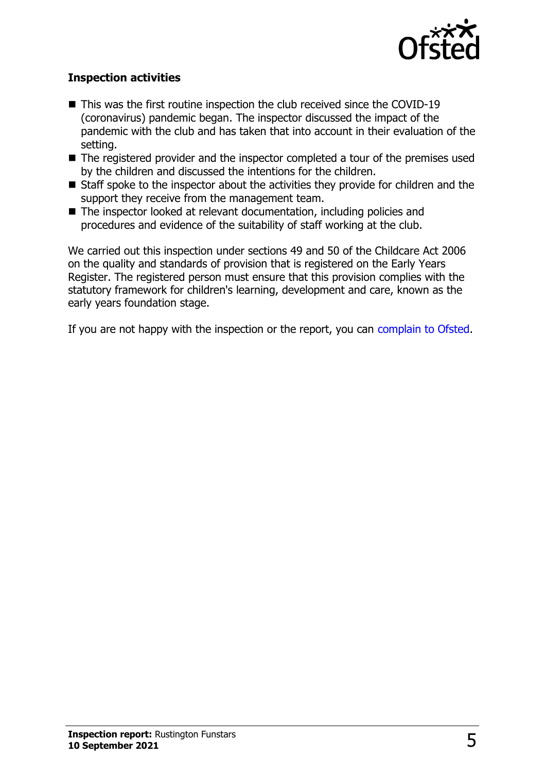

#### **Inspection activities**

- $\blacksquare$  This was the first routine inspection the club received since the COVID-19 (coronavirus) pandemic began. The inspector discussed the impact of the pandemic with the club and has taken that into account in their evaluation of the setting.
- $\blacksquare$  The registered provider and the inspector completed a tour of the premises used by the children and discussed the intentions for the children.
- $\blacksquare$  Staff spoke to the inspector about the activities they provide for children and the support they receive from the management team.
- $\blacksquare$  The inspector looked at relevant documentation, including policies and procedures and evidence of the suitability of staff working at the club.

We carried out this inspection under sections 49 and 50 of the Childcare Act 2006 on the quality and standards of provision that is registered on the Early Years Register. The registered person must ensure that this provision complies with the statutory framework for children's learning, development and care, known as the early years foundation stage.

If you are not happy with the inspection or the report, you can [complain to Ofsted](http://www.gov.uk/complain-ofsted-report).